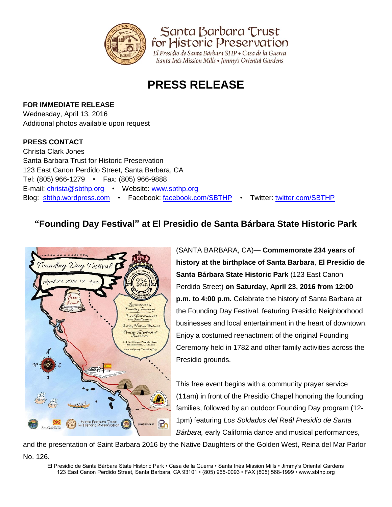

Santa Barbara Trust for Historic Preservation El Presidio de Santa Bárbara SHP · Casa de la Guerra

Santa Inés Mission Mills • Jimmy's Oriental Gardens

# **PRESS RELEASE**

## **FOR IMMEDIATE RELEASE**

Wednesday, April 13, 2016 Additional photos available upon request

## **PRESS CONTACT**

Christa Clark Jones Santa Barbara Trust for Historic Preservation 123 East Canon Perdido Street, Santa Barbara, CA Tel: (805) 966-1279 • Fax: (805) 966-9888 E-mail: [christa@sbthp.org](mailto:christa@sbthp.org) • Website: [www.sbthp.org](http://www.sbthp.org/) Blog: [sbthp.wordpress.com](http://sbthp.wordpress.com/) • Facebook: [facebook.com/SBTHP](http://www.facebook.com/SBTHP) • Twitter: [twitter.com/SBTHP](http://twitter.com/SBTHP)

# **"Founding Day Festival" at El Presidio de Santa Bárbara State Historic Park**



(SANTA BARBARA, CA)— **Commemorate 234 years of history at the birthplace of Santa Barbara**, **El Presidio de Santa Bárbara State Historic Park** (123 East Canon Perdido Street) **on Saturday, April 23, 2016 from 12:00 p.m. to 4:00 p.m.** Celebrate the history of Santa Barbara at the Founding Day Festival, featuring Presidio Neighborhood businesses and local entertainment in the heart of downtown. Enjoy a costumed reenactment of the original Founding Ceremony held in 1782 and other family activities across the Presidio grounds.

This free event begins with a community prayer service (11am) in front of the Presidio Chapel honoring the founding families, followed by an outdoor Founding Day program (12- 1pm) featuring *Los Soldados del Reál Presidio de Santa Bárbara,* early California dance and musical performances,

and the presentation of Saint Barbara 2016 by the Native Daughters of the Golden West, Reina del Mar Parlor

No. 126.

El Presidio de Santa Bárbara State Historic Park • Casa de la Guerra • Santa Inés Mission Mills • Jimmy's Oriental Gardens 123 East Canon Perdido Street, Santa Barbara, CA 93101 • (805) 965-0093 • FAX (805) 568-1999 • www.sbthp.org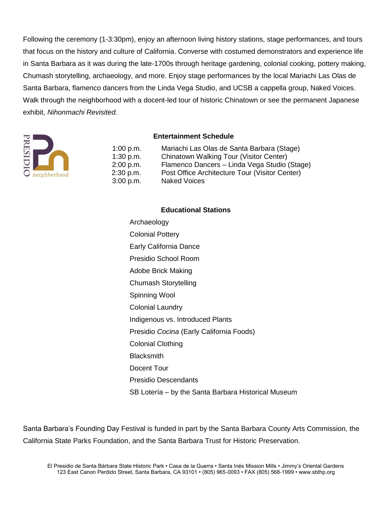Following the ceremony (1-3:30pm), enjoy an afternoon living history stations, stage performances, and tours that focus on the history and culture of California. Converse with costumed demonstrators and experience life in Santa Barbara as it was during the late-1700s through heritage gardening, colonial cooking, pottery making, Chumash storytelling, archaeology, and more. Enjoy stage performances by the local Mariachi Las Olas de Santa Barbara, flamenco dancers from the Linda Vega Studio, and UCSB a cappella group, Naked Voices. Walk through the neighborhood with a docent-led tour of historic Chinatown or see the permanent Japanese exhibit, *Nihonmachi Revisited.*



#### **Entertainment Schedule**

| 1:00 p.m.   | Mariachi Las Olas de Santa Barbara (Stage)     |
|-------------|------------------------------------------------|
| 1:30 p.m.   | Chinatown Walking Tour (Visitor Center)        |
| 2:00 p.m.   | Flamenco Dancers - Linda Vega Studio (Stage)   |
| $2:30$ p.m. | Post Office Architecture Tour (Visitor Center) |
| 3:00 p.m.   | <b>Naked Voices</b>                            |
|             |                                                |

#### **Educational Stations**

Archaeology Colonial Pottery Early California Dance Presidio School Room Adobe Brick Making Chumash Storytelling Spinning Wool Colonial Laundry Indigenous vs. Introduced Plants Presidio *Cocina* (Early California Foods) Colonial Clothing **Blacksmith** Docent Tour Presidio Descendants SB Lotería – by the Santa Barbara Historical Museum

Santa Barbara's Founding Day Festival is funded in part by the Santa Barbara County Arts Commission, the California State Parks Foundation, and the Santa Barbara Trust for Historic Preservation.